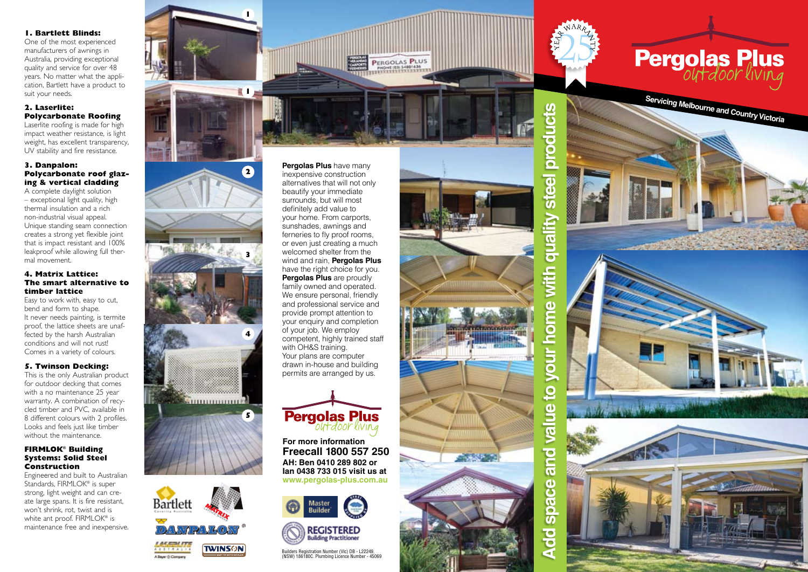## **1. Bartlett Blinds:**

One of the most experienced manufacturers of awnings in Australia, providing exceptional quality and service for over 48 years. No matter what the application, Bartlett have a product to suit your needs.

### **2. Laserlite: Polycarbonate Roofing**

Laserlite roofing is made for high impact weather resistance, is light weight, has excellent transparency, UV stability and fire resistance.

#### **3. Danpalon: Polycarbonate roof glazing & vertical cladding**

A complete daylight solution – exceptional light quality, high thermal insulation and a rich non-industrial visual appeal. Unique standing seam connection creates a strong yet flexible joint that is impact resistant and 100% leakproof while allowing full thermal movement.

#### **4. Matrix Lattice: The smart alternative to timber lattice**

Easy to work with, easy to cut, bend and form to shape. It never needs painting, is termite proof, the lattice sheets are unaffected by the harsh Australian conditions and will not rust! Comes in a variety of colours.

# **5. Twinson Decking:**

This is the only Australian product for outdoor decking that comes with a no maintenance 25 year warranty. A combination of recycled timber and PVC, available in 8 different colours with 2 profiles. Looks and feels just like timber without the maintenance.

#### **FIRMLOK® Building Systems: Solid Steel Construction**

Engineered and built to Australian Standards, FIRMLOK® is super strong, light weight and can create large spans. It is fire resistant, won't shrink, rot, twist and is white ant proof. FIRMLOK® is maintenance free and inexpensive.



**TWINSON** 

**Pergolas Plus** have many inexpensive construction alternatives that will not only beautify your immediate surrounds, but will most definitely add value to your home. From carports, sunshades, awnings and ferneries to fly proof rooms, or even just creating a much welcomed shelter from the wind and rain, **Pergolas Plus**  have the right choice for you. **Pergolas Plus** are proudly family owned and operated. We ensure personal, friendly and professional service and provide prompt attention to your enquiry and completion of your job. We employ competent, highly trained staff with OH&S training. Your plans are computer drawn in-house and building permits are arranged by us.

PERGOLAS PLUS



**For more information Freecall 1800 557 250 AH: Ben 0410 289 802 or Ian 0438 733 015 visit us at www.pergolas-plus.com.au**





Builders Registration Number (Vic) DB - L22249, (NSW) 186180C. Plumbing Licence Number - 45069



**Add space and value to your home with quality steel products** π  $\overline{\mathbf{o}}$ Ŏ  $\overline{\bf{5}}$  $\overline{\mathbf{a}}$ Φ ัช BUDD vith  $\mathbf{d}$ Q  $\epsilon$ **PD**  $\overline{\mathbf{Q}}$  $\overline{9}$  $\overline{\mathbf{c}}$ and  $\overline{\mathbf{a}}$ δ **SOB**  $\overline{8}$